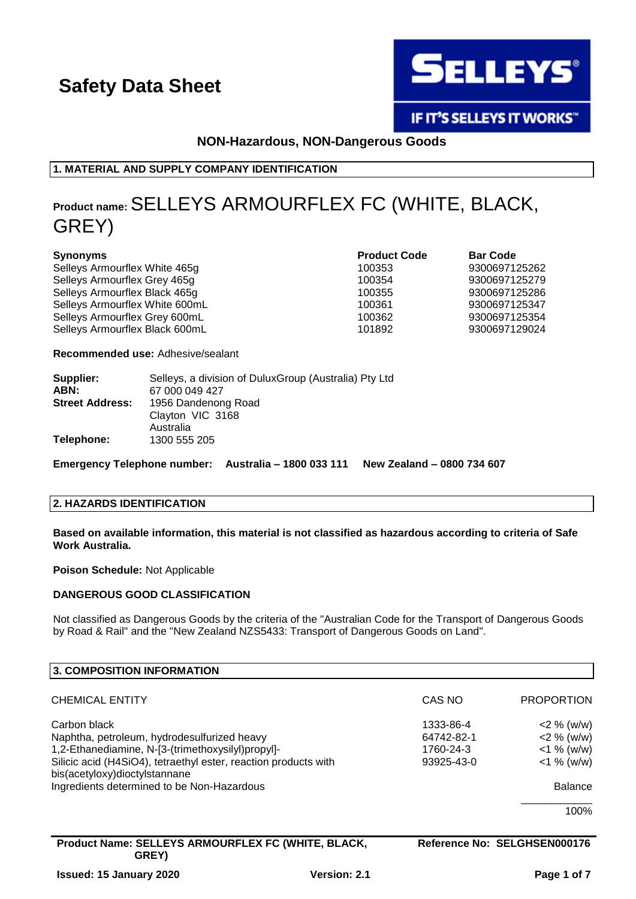

IF IT'S SELLEYS IT WORKS"

#### **NON-Hazardous, NON-Dangerous Goods**

**1. MATERIAL AND SUPPLY COMPANY IDENTIFICATION**

## **Product name:**SELLEYS ARMOURFLEX FC (WHITE, BLACK, GREY)

| <b>Synonyms</b>                | <b>Product Code</b> | <b>Bar Code</b> |
|--------------------------------|---------------------|-----------------|
| Selleys Armourflex White 465g  | 100353              | 9300697125262   |
| Selleys Armourflex Grey 465g   | 100354              | 9300697125279   |
| Selleys Armourflex Black 465g  | 100355              | 9300697125286   |
| Selleys Armourflex White 600mL | 100361              | 9300697125347   |
| Selleys Armourflex Grey 600mL  | 100362              | 9300697125354   |
| Selleys Armourflex Black 600mL | 101892              | 9300697129024   |

**Recommended use:** Adhesive/sealant

| Supplier:<br>ABN:      | Selleys, a division of Dulux Group (Australia) Pty Ltd<br>67 000 049 427 |
|------------------------|--------------------------------------------------------------------------|
| <b>Street Address:</b> | 1956 Dandenong Road<br>Clayton VIC 3168<br>Australia                     |
| Telephone:             | 1300 555 205                                                             |

**Emergency Telephone number: Australia – 1800 033 111 New Zealand – 0800 734 607**

#### **2. HAZARDS IDENTIFICATION**

#### **Based on available information, this material is not classified as hazardous according to criteria of Safe Work Australia.**

**Poison Schedule:** Not Applicable

#### **DANGEROUS GOOD CLASSIFICATION**

Not classified as Dangerous Goods by the criteria of the "Australian Code for the Transport of Dangerous Goods by Road & Rail" and the "New Zealand NZS5433: Transport of Dangerous Goods on Land".

| 3. COMPOSITION INFORMATION                                                                                           |                         |                                |
|----------------------------------------------------------------------------------------------------------------------|-------------------------|--------------------------------|
| <b>CHEMICAL ENTITY</b>                                                                                               | CAS NO                  | <b>PROPORTION</b>              |
| Carbon black<br>Naphtha, petroleum, hydrodesulfurized heavy                                                          | 1333-86-4<br>64742-82-1 | $2\%$ (w/w)<br>$<$ 2 % (w/w)   |
| 1,2-Ethanediamine, N-[3-(trimethoxysilyl)propyl]-<br>Silicic acid (H4SiO4), tetraethyl ester, reaction products with | 1760-24-3<br>93925-43-0 | $<$ 1 % (w/w)<br>$<$ 1 % (w/w) |
| bis(acetyloxy)dioctylstannane<br>Ingredients determined to be Non-Hazardous                                          |                         | <b>Balance</b>                 |
|                                                                                                                      |                         | 100%                           |

| Product Name: SELLEYS ARMOURFLEX FC (WHITE, BLACK, |                     | Reference No: SELGHSEN000176 |
|----------------------------------------------------|---------------------|------------------------------|
| <b>GREY)</b>                                       |                     |                              |
| <b>Issued: 15 January 2020</b>                     | <b>Version: 2.1</b> | Page 1 of 7                  |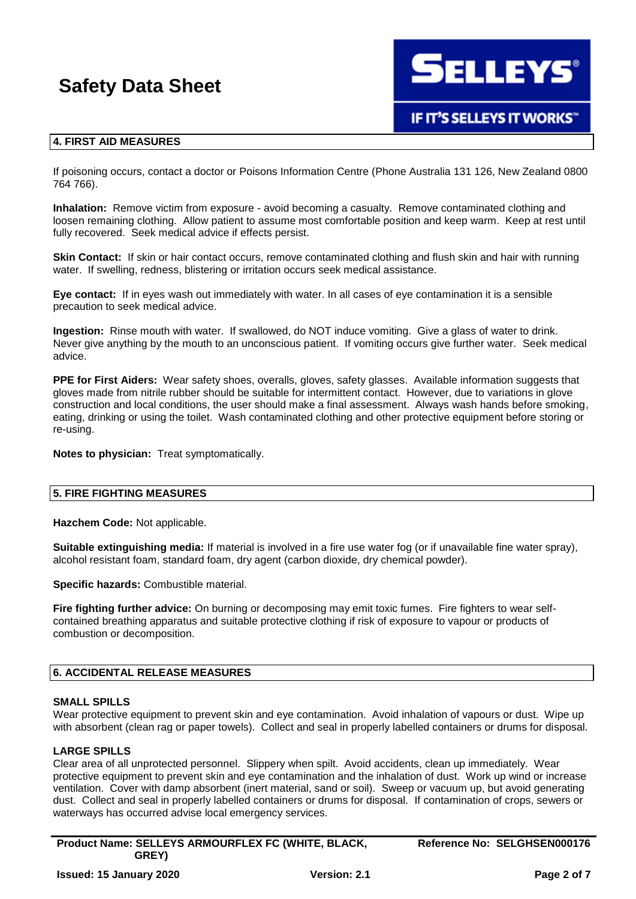**SELLEYS®** 

### **IF IT'S SELLEYS IT WORKS"**

#### **4. FIRST AID MEASURES**

If poisoning occurs, contact a doctor or Poisons Information Centre (Phone Australia 131 126, New Zealand 0800 764 766).

**Inhalation:** Remove victim from exposure - avoid becoming a casualty. Remove contaminated clothing and loosen remaining clothing. Allow patient to assume most comfortable position and keep warm. Keep at rest until fully recovered. Seek medical advice if effects persist.

**Skin Contact:** If skin or hair contact occurs, remove contaminated clothing and flush skin and hair with running water. If swelling, redness, blistering or irritation occurs seek medical assistance.

**Eye contact:** If in eyes wash out immediately with water. In all cases of eye contamination it is a sensible precaution to seek medical advice.

**Ingestion:** Rinse mouth with water. If swallowed, do NOT induce vomiting. Give a glass of water to drink. Never give anything by the mouth to an unconscious patient. If vomiting occurs give further water. Seek medical advice.

**PPE for First Aiders:** Wear safety shoes, overalls, gloves, safety glasses. Available information suggests that gloves made from nitrile rubber should be suitable for intermittent contact. However, due to variations in glove construction and local conditions, the user should make a final assessment. Always wash hands before smoking, eating, drinking or using the toilet. Wash contaminated clothing and other protective equipment before storing or re-using.

**Notes to physician:** Treat symptomatically.

#### **5. FIRE FIGHTING MEASURES**

**Hazchem Code:** Not applicable.

**Suitable extinguishing media:** If material is involved in a fire use water fog (or if unavailable fine water spray), alcohol resistant foam, standard foam, dry agent (carbon dioxide, dry chemical powder).

**Specific hazards:** Combustible material.

**Fire fighting further advice:** On burning or decomposing may emit toxic fumes. Fire fighters to wear selfcontained breathing apparatus and suitable protective clothing if risk of exposure to vapour or products of combustion or decomposition.

#### **6. ACCIDENTAL RELEASE MEASURES**

#### **SMALL SPILLS**

Wear protective equipment to prevent skin and eye contamination. Avoid inhalation of vapours or dust. Wipe up with absorbent (clean rag or paper towels). Collect and seal in properly labelled containers or drums for disposal.

#### **LARGE SPILLS**

Clear area of all unprotected personnel. Slippery when spilt. Avoid accidents, clean up immediately. Wear protective equipment to prevent skin and eye contamination and the inhalation of dust. Work up wind or increase ventilation. Cover with damp absorbent (inert material, sand or soil). Sweep or vacuum up, but avoid generating dust. Collect and seal in properly labelled containers or drums for disposal. If contamination of crops, sewers or waterways has occurred advise local emergency services.

**Product Name: SELLEYS ARMOURFLEX FC (WHITE, BLACK, GREY) Issued: 15 January 2020 Version: 2.1 Page 2 of 7**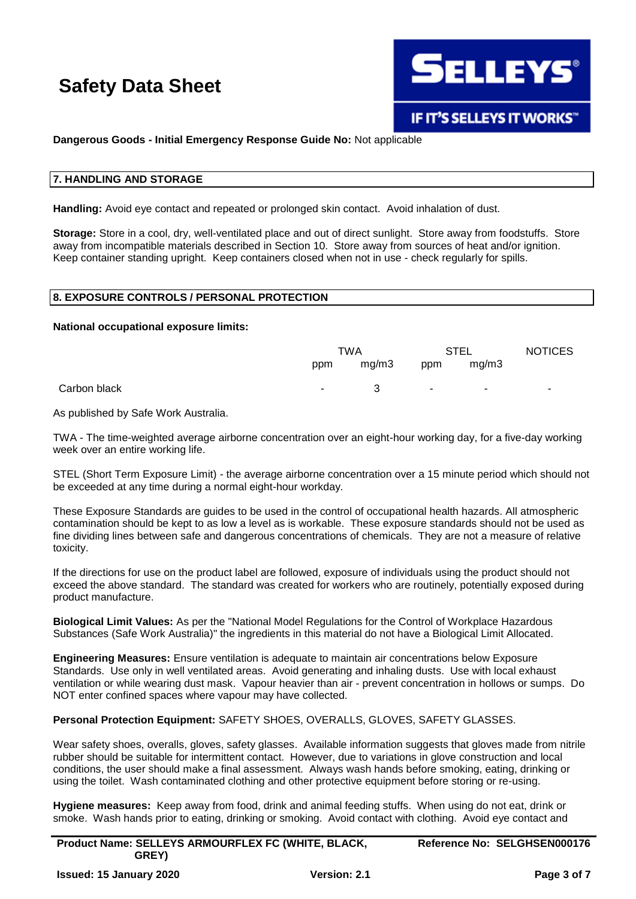

#### **Dangerous Goods - Initial Emergency Response Guide No:** Not applicable

#### **7. HANDLING AND STORAGE**

**Handling:** Avoid eye contact and repeated or prolonged skin contact. Avoid inhalation of dust.

**Storage:** Store in a cool, dry, well-ventilated place and out of direct sunlight. Store away from foodstuffs. Store away from incompatible materials described in Section 10. Store away from sources of heat and/or ignition. Keep container standing upright. Keep containers closed when not in use - check regularly for spills.

### **8. EXPOSURE CONTROLS / PERSONAL PROTECTION**

#### **National occupational exposure limits:**

|              |        | TWA   |            | STEL                    | <b>NOTICES</b> |
|--------------|--------|-------|------------|-------------------------|----------------|
|              | ppm    | mg/m3 | ppm        | mg/m3                   |                |
| Carbon black | $\sim$ | 3     | $\sim 100$ | $\sim 100$ km s $^{-1}$ | ٠.             |

As published by Safe Work Australia.

TWA - The time-weighted average airborne concentration over an eight-hour working day, for a five-day working week over an entire working life.

STEL (Short Term Exposure Limit) - the average airborne concentration over a 15 minute period which should not be exceeded at any time during a normal eight-hour workday.

These Exposure Standards are guides to be used in the control of occupational health hazards. All atmospheric contamination should be kept to as low a level as is workable. These exposure standards should not be used as fine dividing lines between safe and dangerous concentrations of chemicals. They are not a measure of relative toxicity.

If the directions for use on the product label are followed, exposure of individuals using the product should not exceed the above standard. The standard was created for workers who are routinely, potentially exposed during product manufacture.

**Biological Limit Values:** As per the "National Model Regulations for the Control of Workplace Hazardous Substances (Safe Work Australia)" the ingredients in this material do not have a Biological Limit Allocated.

**Engineering Measures:** Ensure ventilation is adequate to maintain air concentrations below Exposure Standards. Use only in well ventilated areas. Avoid generating and inhaling dusts. Use with local exhaust ventilation or while wearing dust mask. Vapour heavier than air - prevent concentration in hollows or sumps. Do NOT enter confined spaces where vapour may have collected.

**Personal Protection Equipment:** SAFETY SHOES, OVERALLS, GLOVES, SAFETY GLASSES.

Wear safety shoes, overalls, gloves, safety glasses. Available information suggests that gloves made from nitrile rubber should be suitable for intermittent contact. However, due to variations in glove construction and local conditions, the user should make a final assessment. Always wash hands before smoking, eating, drinking or using the toilet. Wash contaminated clothing and other protective equipment before storing or re-using.

**Hygiene measures:** Keep away from food, drink and animal feeding stuffs. When using do not eat, drink or smoke. Wash hands prior to eating, drinking or smoking. Avoid contact with clothing. Avoid eye contact and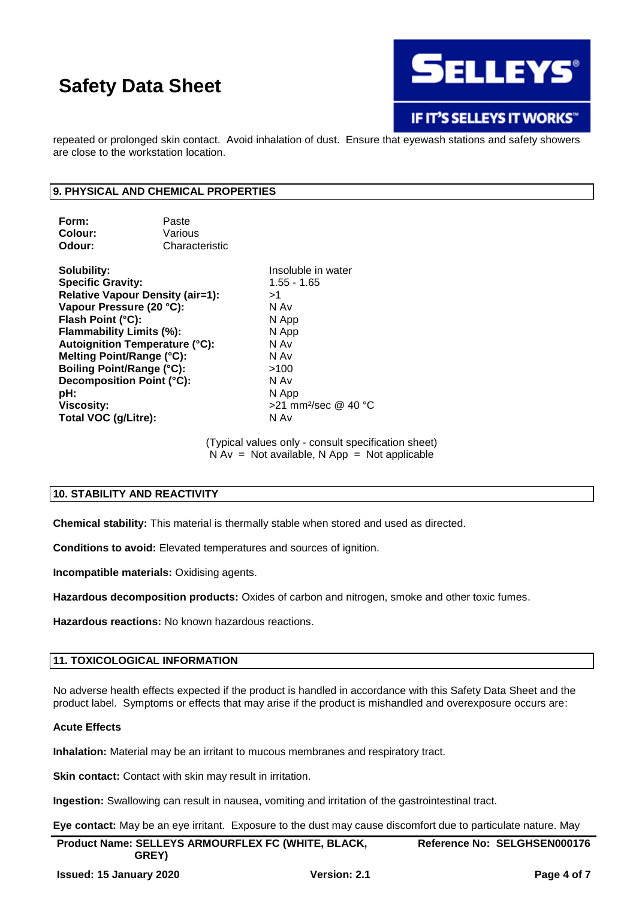

### **IF IT'S SELLEYS IT WORKS"**

repeated or prolonged skin contact. Avoid inhalation of dust. Ensure that eyewash stations and safety showers are close to the workstation location.

#### **9. PHYSICAL AND CHEMICAL PROPERTIES**

| Form:   | Paste          |
|---------|----------------|
| Colour: | Various        |
| Odour:  | Characteristic |

**Solubility:** Insoluble in water **Specific Gravity:** 1.55 - 1.65 **Relative Vapour Density (air=1):** >1 **Vapour Pressure (20 °C):** N Av **Flash Point (°C):** N App **Flammability Limits (%):** N App **Autoignition Temperature (°C):** N Av **Melting Point/Range (°C):** N Av **Boiling Point/Range (°C):**  $>100$ **Decomposition Point (°C):** N Av **pH:** N App **Viscosity:**  $>21$  mm<sup>2</sup>/sec @ 40 °C **Total VOC (g/Litre):** N Av

(Typical values only - consult specification sheet)  $N Av = Not available, N App = Not applicable$ 

#### **10. STABILITY AND REACTIVITY**

**Chemical stability:** This material is thermally stable when stored and used as directed.

**Conditions to avoid:** Elevated temperatures and sources of ignition.

**Incompatible materials:** Oxidising agents.

**Hazardous decomposition products:** Oxides of carbon and nitrogen, smoke and other toxic fumes.

**Hazardous reactions:** No known hazardous reactions.

#### **11. TOXICOLOGICAL INFORMATION**

No adverse health effects expected if the product is handled in accordance with this Safety Data Sheet and the product label. Symptoms or effects that may arise if the product is mishandled and overexposure occurs are:

#### **Acute Effects**

**Inhalation:** Material may be an irritant to mucous membranes and respiratory tract.

**Skin contact:** Contact with skin may result in irritation.

**Ingestion:** Swallowing can result in nausea, vomiting and irritation of the gastrointestinal tract.

**Eye contact:** May be an eye irritant. Exposure to the dust may cause discomfort due to particulate nature. May

| Product Name: SELLEYS ARMOURFLEX FC (WHITE, BLACK,<br><b>GREY</b> ) |                     | Reference No: SELGHSEN000176 |  |
|---------------------------------------------------------------------|---------------------|------------------------------|--|
| <b>Issued: 15 January 2020</b>                                      | <b>Version: 2.1</b> | Page 4 of 7                  |  |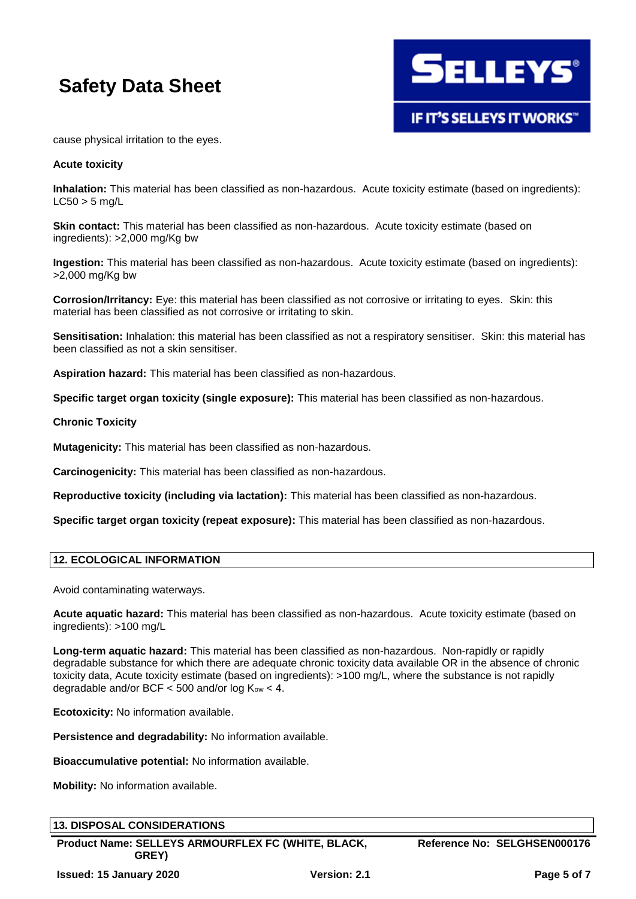

cause physical irritation to the eyes.

#### **Acute toxicity**

**Inhalation:** This material has been classified as non-hazardous. Acute toxicity estimate (based on ingredients):  $LC50 > 5$  ma/L

**Skin contact:** This material has been classified as non-hazardous. Acute toxicity estimate (based on ingredients): >2,000 mg/Kg bw

**Ingestion:** This material has been classified as non-hazardous. Acute toxicity estimate (based on ingredients): >2,000 mg/Kg bw

**Corrosion/Irritancy:** Eye: this material has been classified as not corrosive or irritating to eyes. Skin: this material has been classified as not corrosive or irritating to skin.

**Sensitisation:** Inhalation: this material has been classified as not a respiratory sensitiser. Skin: this material has been classified as not a skin sensitiser.

**Aspiration hazard:** This material has been classified as non-hazardous.

**Specific target organ toxicity (single exposure):** This material has been classified as non-hazardous.

#### **Chronic Toxicity**

**Mutagenicity:** This material has been classified as non-hazardous.

**Carcinogenicity:** This material has been classified as non-hazardous.

**Reproductive toxicity (including via lactation):** This material has been classified as non-hazardous.

**Specific target organ toxicity (repeat exposure):** This material has been classified as non-hazardous.

#### **12. ECOLOGICAL INFORMATION**

Avoid contaminating waterways.

**Acute aquatic hazard:** This material has been classified as non-hazardous. Acute toxicity estimate (based on ingredients): >100 mg/L

**Long-term aquatic hazard:** This material has been classified as non-hazardous. Non-rapidly or rapidly degradable substance for which there are adequate chronic toxicity data available OR in the absence of chronic toxicity data, Acute toxicity estimate (based on ingredients): >100 mg/L, where the substance is not rapidly degradable and/or BCF  $<$  500 and/or log K<sub>ow</sub>  $<$  4.

**Ecotoxicity:** No information available.

**Persistence and degradability:** No information available.

**Bioaccumulative potential:** No information available.

**Mobility:** No information available.

| <b>13. DISPOSAL CONSIDERATIONS</b>                          |                              |
|-------------------------------------------------------------|------------------------------|
| Product Name: SELLEYS ARMOURFLEX FC (WHITE, BLACK,<br>GREY) | Reference No: SELGHSEN000176 |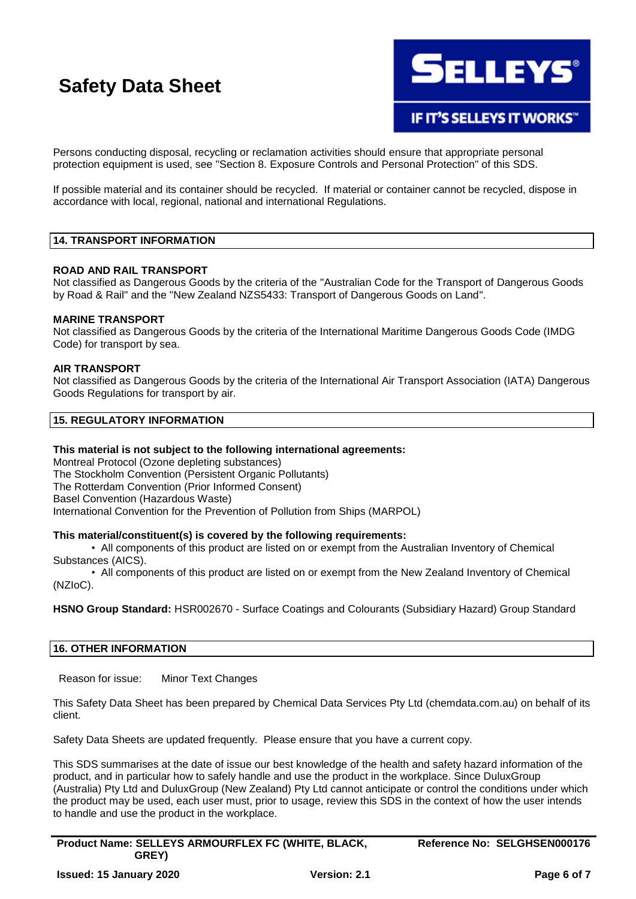

Persons conducting disposal, recycling or reclamation activities should ensure that appropriate personal protection equipment is used, see "Section 8. Exposure Controls and Personal Protection" of this SDS.

If possible material and its container should be recycled. If material or container cannot be recycled, dispose in accordance with local, regional, national and international Regulations.

#### **14. TRANSPORT INFORMATION**

#### **ROAD AND RAIL TRANSPORT**

Not classified as Dangerous Goods by the criteria of the "Australian Code for the Transport of Dangerous Goods by Road & Rail" and the "New Zealand NZS5433: Transport of Dangerous Goods on Land".

#### **MARINE TRANSPORT**

Not classified as Dangerous Goods by the criteria of the International Maritime Dangerous Goods Code (IMDG Code) for transport by sea.

#### **AIR TRANSPORT**

Not classified as Dangerous Goods by the criteria of the International Air Transport Association (IATA) Dangerous Goods Regulations for transport by air.

#### **15. REGULATORY INFORMATION**

#### **This material is not subject to the following international agreements:**

Montreal Protocol (Ozone depleting substances) The Stockholm Convention (Persistent Organic Pollutants) The Rotterdam Convention (Prior Informed Consent) Basel Convention (Hazardous Waste) International Convention for the Prevention of Pollution from Ships (MARPOL)

#### **This material/constituent(s) is covered by the following requirements:**

• All components of this product are listed on or exempt from the Australian Inventory of Chemical Substances (AICS).

• All components of this product are listed on or exempt from the New Zealand Inventory of Chemical (NZIoC).

**HSNO Group Standard:** HSR002670 - Surface Coatings and Colourants (Subsidiary Hazard) Group Standard

#### **16. OTHER INFORMATION**

Reason for issue: Minor Text Changes

This Safety Data Sheet has been prepared by Chemical Data Services Pty Ltd (chemdata.com.au) on behalf of its client.

Safety Data Sheets are updated frequently. Please ensure that you have a current copy.

This SDS summarises at the date of issue our best knowledge of the health and safety hazard information of the product, and in particular how to safely handle and use the product in the workplace. Since DuluxGroup (Australia) Pty Ltd and DuluxGroup (New Zealand) Pty Ltd cannot anticipate or control the conditions under which the product may be used, each user must, prior to usage, review this SDS in the context of how the user intends to handle and use the product in the workplace.